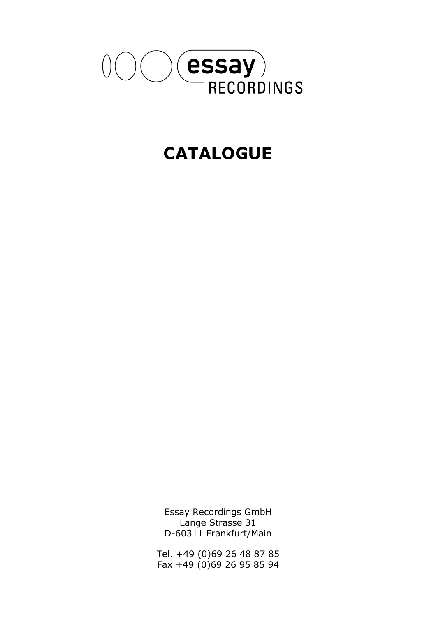

# **CATALOGUE**

Essay Recordings GmbH Lange Strasse 31 D-60311 Frankfurt/Main

Tel. +49 (0)69 26 48 87 85 Fax +49 (0)69 26 95 85 94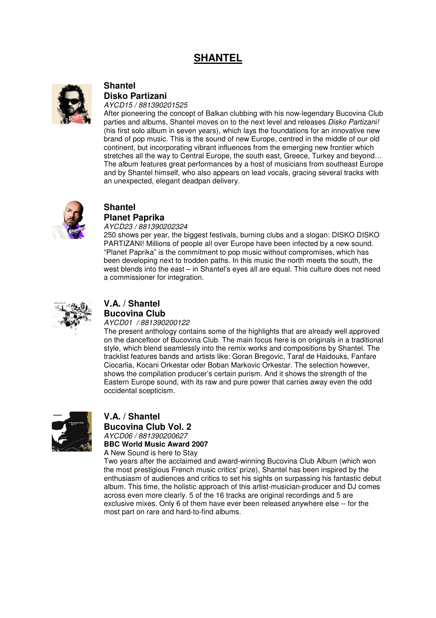## **SHANTEL**



### **Shantel Disko Partizani**

AYCD15 / 881390201525

After pioneering the concept of Balkan clubbing with his now-legendary Bucovina Club parties and albums, Shantel moves on to the next level and releases Disko Partizani! (his first solo album in seven years), which lays the foundations for an innovative new brand of pop music. This is the sound of new Europe, centred in the middle of our old continent, but incorporating vibrant influences from the emerging new frontier which stretches all the way to Central Europe, the south east, Greece, Turkey and beyond… The album features great performances by a host of musicians from southeast Europe and by Shantel himself, who also appears on lead vocals, gracing several tracks with an unexpected, elegant deadpan delivery.



### **Shantel Planet Paprika**

AYCD23 / 881390202324

250 shows per year, the biggest festivals, burning clubs and a slogan: DISKO DISKO PARTIZANI! Millions of people all over Europe have been infected by a new sound. "Planet Paprika" is the commitment to pop music without compromises, which has been developing next to trodden paths. In this music the north meets the south, the west blends into the east – in Shantel's eyes all are equal. This culture does not need a commissioner for integration.



### **V.A. / Shantel Bucovina Club**

### AYCD01 / 881390200122

The present anthology contains some of the highlights that are already well approved on the dancefloor of Bucovina Club. The main focus here is on originals in a traditional style, which blend seamlessly into the remix works and compositions by Shantel. The tracklist features bands and artists like: Goran Bregovic, Taraf de Haidouks, Fanfare Ciocarlia, Kocani Orkestar oder Boban Markovic Orkestar. The selection however, shows the compilation producer's certain purism. And it shows the strength of the Eastern Europe sound, with its raw and pure power that carries away even the odd occidental scepticism.



### **V.A. / Shantel**

**Bucovina Club Vol. 2**  AYCD06 / 881390200627 **BBC World Music Award 2007** 

A New Sound is here to Stay Two years after the acclaimed and award-winning Bucovina Club Album (which won the most prestigious French music critics' prize), Shantel has been inspired by the enthusiasm of audiences and critics to set his sights on surpassing his fantastic debut album. This time, the holistic approach of this artist-musician-producer and DJ comes across even more clearly. 5 of the 16 tracks are original recordings and 5 are exclusive mixes. Only 6 of them have ever been released anywhere else -- for the most part on rare and hard-to-find albums.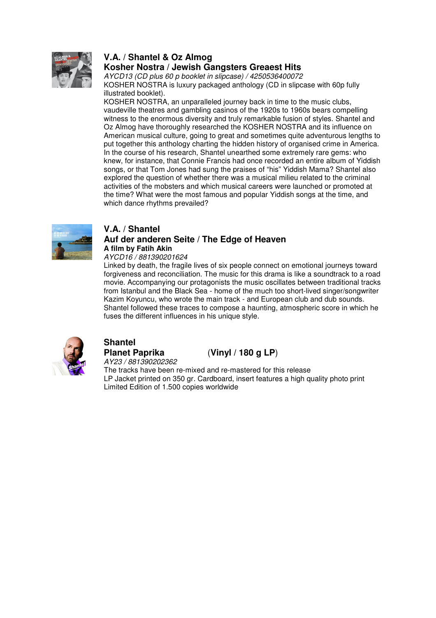

#### **V.A. / Shantel & Oz Almog Kosher Nostra / Jewish Gangsters Greaest Hits**

AYCD13 (CD plus 60 p booklet in slipcase) / 4250536400072 KOSHER NOSTRA is luxury packaged anthology (CD in slipcase with 60p fully illustrated booklet).

KOSHER NOSTRA, an unparalleled journey back in time to the music clubs, vaudeville theatres and gambling casinos of the 1920s to 1960s bears compelling witness to the enormous diversity and truly remarkable fusion of styles. Shantel and Oz Almog have thoroughly researched the KOSHER NOSTRA and its influence on American musical culture, going to great and sometimes quite adventurous lengths to put together this anthology charting the hidden history of organised crime in America. In the course of his research, Shantel unearthed some extremely rare gems: who knew, for instance, that Connie Francis had once recorded an entire album of Yiddish songs, or that Tom Jones had sung the praises of "his" Yiddish Mama? Shantel also explored the question of whether there was a musical milieu related to the criminal activities of the mobsters and which musical careers were launched or promoted at the time? What were the most famous and popular Yiddish songs at the time, and which dance rhythms prevailed?



### **V.A. / Shantel**

### **Auf der anderen Seite / The Edge of Heaven A film by Fatih Akin**

AYCD16 / 881390201624

Linked by death, the fragile lives of six people connect on emotional journeys toward forgiveness and reconciliation. The music for this drama is like a soundtrack to a road movie. Accompanying our protagonists the music oscillates between traditional tracks from Istanbul and the Black Sea - home of the much too short-lived singer/songwriter Kazim Koyuncu, who wrote the main track - and European club and dub sounds. Shantel followed these traces to compose a haunting, atmospheric score in which he fuses the different influences in his unique style.



## **Shantel**  AY23 / 881390202362

### **Planet Paprika** (**Vinyl / 180 g LP**)

The tracks have been re-mixed and re-mastered for this release LP Jacket printed on 350 gr. Cardboard, insert features a high quality photo print Limited Edition of 1.500 copies worldwide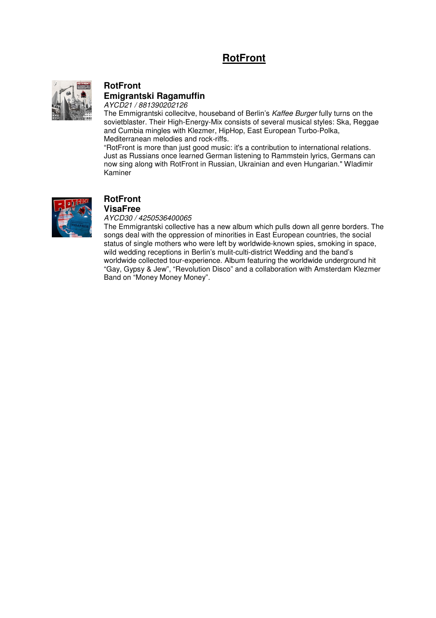## **RotFront**



### **RotFront Emigrantski Ragamuffin**

AYCD21 / 881390202126

The Emmigrantski collecitve, houseband of Berlin's Kaffee Burger fully turns on the sovietblaster. Their High-Energy-Mix consists of several musical styles: Ska, Reggae and Cumbia mingles with Klezmer, HipHop, East European Turbo-Polka, Mediterranean melodies and rock-riffs.

"RotFront is more than just good music: it's a contribution to international relations. Just as Russians once learned German listening to Rammstein lyrics, Germans can now sing along with RotFront in Russian, Ukrainian and even Hungarian." Wladimir Kaminer



#### **RotFront VisaFree**

AYCD30 / 4250536400065

The Emmigrantski collective has a new album which pulls down all genre borders. The songs deal with the oppression of minorities in East European countries, the social status of single mothers who were left by worldwide-known spies, smoking in space, wild wedding receptions in Berlin's mulit-culti-district Wedding and the band's worldwide collected tour-experience. Album featuring the worldwide underground hit "Gay, Gypsy & Jew", "Revolution Disco" and a collaboration with Amsterdam Klezmer Band on "Money Money Money".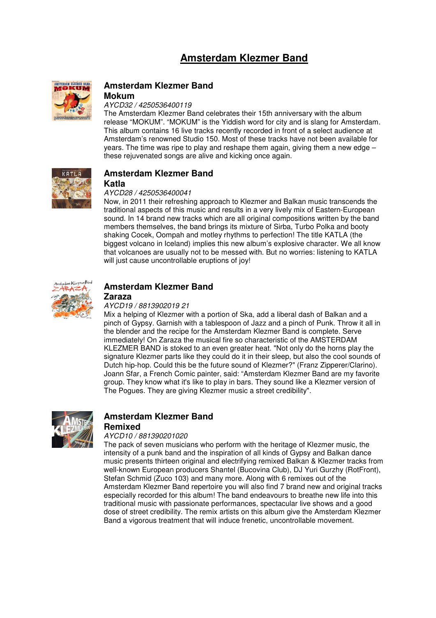## **Amsterdam Klezmer Band**



### **Amsterdam Klezmer Band**

### **Mokum**

AYCD32 / 4250536400119

The Amsterdam Klezmer Band celebrates their 15th anniversary with the album release "MOKUM". "MOKUM" is the Yiddish word for city and is slang for Amsterdam. This album contains 16 live tracks recently recorded in front of a select audience at Amsterdam's renowned Studio 150. Most of these tracks have not been available for years. The time was ripe to play and reshape them again, giving them a new edge – these rejuvenated songs are alive and kicking once again.



#### **Amsterdam Klezmer Band Katla**

#### AYCD28 / 4250536400041

Now, in 2011 their refreshing approach to Klezmer and Balkan music transcends the traditional aspects of this music and results in a very lively mix of Eastern-European sound. In 14 brand new tracks which are all original compositions written by the band members themselves, the band brings its mixture of Sirba, Turbo Polka and booty shaking Cocek, Oompah and motley rhythms to perfection! The title KATLA (the biggest volcano in Iceland) implies this new album's explosive character. We all know that volcanoes are usually not to be messed with. But no worries: listening to KATLA will just cause uncontrollable eruptions of joy!



#### **Amsterdam Klezmer Band Zaraza**

#### AYCD19 / 8813902019 21

Mix a helping of Klezmer with a portion of Ska, add a liberal dash of Balkan and a pinch of Gypsy. Garnish with a tablespoon of Jazz and a pinch of Punk. Throw it all in the blender and the recipe for the Amsterdam Klezmer Band is complete. Serve immediately! On Zaraza the musical fire so characteristic of the AMSTERDAM KLEZMER BAND is stoked to an even greater heat. "Not only do the horns play the signature Klezmer parts like they could do it in their sleep, but also the cool sounds of Dutch hip-hop. Could this be the future sound of Klezmer?" (Franz Zipperer/Clarino). Joann Sfar, a French Comic painter, said: "Amsterdam Klezmer Band are my favorite group. They know what it's like to play in bars. They sound like a Klezmer version of The Pogues. They are giving Klezmer music a street credibility".



#### **Amsterdam Klezmer Band Remixed**

### AYCD10 / 881390201020

The pack of seven musicians who perform with the heritage of Klezmer music, the intensity of a punk band and the inspiration of all kinds of Gypsy and Balkan dance music presents thirteen original and electrifying remixed Balkan & Klezmer tracks from well-known European producers Shantel (Bucovina Club), DJ Yuri Gurzhy (RotFront), Stefan Schmid (Zuco 103) and many more. Along with 6 remixes out of the Amsterdam Klezmer Band repertoire you will also find 7 brand new and original tracks especially recorded for this album! The band endeavours to breathe new life into this traditional music with passionate performances, spectacular live shows and a good dose of street credibility. The remix artists on this album give the Amsterdam Klezmer Band a vigorous treatment that will induce frenetic, uncontrollable movement.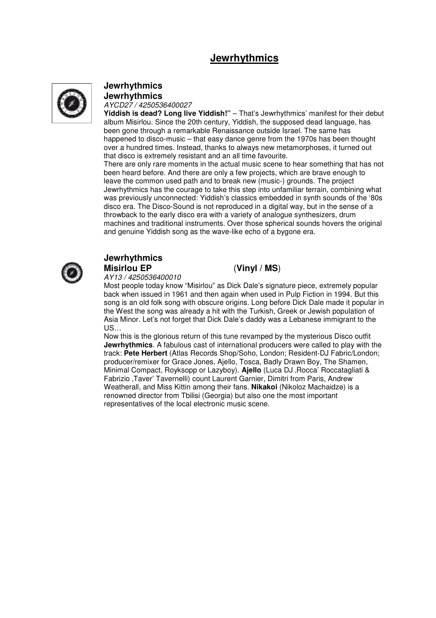## **Jewrhythmics**



### **Jewrhythmics Jewrhythmics**

AYCD27 / 4250536400027

**Yiddish is dead? Long live Yiddish!"** – That's Jewrhythmics' manifest for their debut album Misirlou. Since the 20th century, Yiddish, the supposed dead language, has been gone through a remarkable Renaissance outside Israel. The same has happened to disco-music – that easy dance genre from the 1970s has been thought over a hundred times. Instead, thanks to always new metamorphoses, it turned out that disco is extremely resistant and an all time favourite.

There are only rare moments in the actual music scene to hear something that has not been heard before. And there are only a few projects, which are brave enough to leave the common used path and to break new (music-) grounds. The project Jewrhythmics has the courage to take this step into unfamiliar terrain, combining what was previously unconnected: Yiddish's classics embedded in synth sounds of the '80s disco era. The Disco-Sound is not reproduced in a digital way, but in the sense of a throwback to the early disco era with a variety of analogue synthesizers, drum machines and traditional instruments. Over those spherical sounds hovers the original and genuine Yiddish song as the wave-like echo of a bygone era.



### **Jewrhythmics Misirlou EP** (**Vinyl / MS**)

AY13 / 4250536400010

Most people today know "Misirlou" as Dick Dale's signature piece, extremely popular back when issued in 1961 and then again when used in Pulp Fiction in 1994. But this song is an old folk song with obscure origins. Long before Dick Dale made it popular in the West the song was already a hit with the Turkish, Greek or Jewish population of Asia Minor. Let's not forget that Dick Dale's daddy was a Lebanese immigrant to the  $US...$ 

Now this is the glorious return of this tune revamped by the mysterious Disco outfit **Jewrhythmics**. A fabulous cast of international producers were called to play with the track: **Pete Herbert** (Atlas Records Shop/Soho, London; Resident-DJ Fabric/London; producer/remixer for Grace Jones, Ajello, Tosca, Badly Drawn Boy, The Shamen, Minimal Compact, Royksopp or Lazyboy). **Ajello** (Luca DJ, Rocca' Roccatagliati & Fabrizio ,Taver' Tavernelli) count Laurent Garnier, Dimitri from Paris, Andrew Weatherall, and Miss Kittin among their fans. **Nikakoi** (Nikoloz Machaidze) is a renowned director from Tbilisi (Georgia) but also one the most important representatives of the local electronic music scene.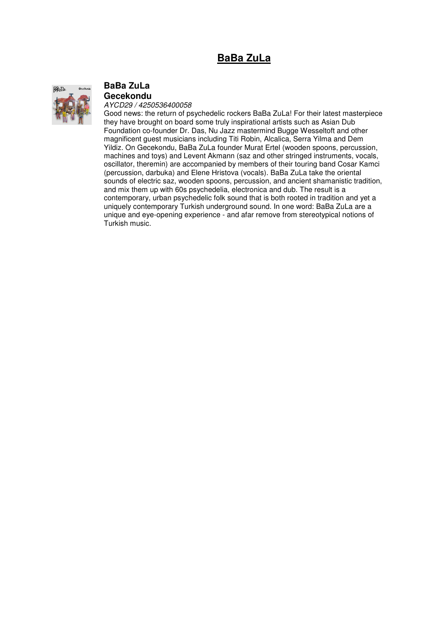## **BaBa ZuLa**



#### **BaBa ZuLa Gecekondu**

AYCD29 / 4250536400058

Good news: the return of psychedelic rockers BaBa ZuLa! For their latest masterpiece they have brought on board some truly inspirational artists such as Asian Dub Foundation co-founder Dr. Das, Nu Jazz mastermind Bugge Wesseltoft and other magnificent guest musicians including Titi Robin, Alcalica, Serra Yilma and Dem Yildiz. On Gecekondu, BaBa ZuLa founder Murat Ertel (wooden spoons, percussion, machines and toys) and Levent Akmann (saz and other stringed instruments, vocals, oscillator, theremin) are accompanied by members of their touring band Cosar Kamci (percussion, darbuka) and Elene Hristova (vocals). BaBa ZuLa take the oriental sounds of electric saz, wooden spoons, percussion, and ancient shamanistic tradition, and mix them up with 60s psychedelia, electronica and dub. The result is a contemporary, urban psychedelic folk sound that is both rooted in tradition and yet a uniquely contemporary Turkish underground sound. In one word: BaBa ZuLa are a unique and eye-opening experience - and afar remove from stereotypical notions of Turkish music.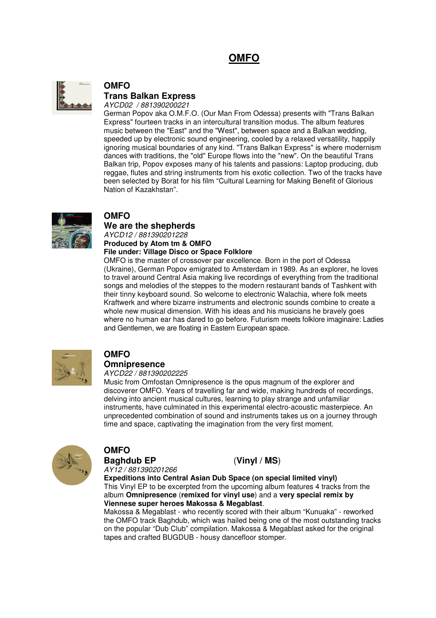## **OMFO**



### **OMFO Trans Balkan Express**

AYCD02 / 881390200221

German Popov aka O.M.F.O. (Our Man From Odessa) presents with "Trans Balkan Express" fourteen tracks in an intercultural transition modus. The album features music between the "East" and the "West", between space and a Balkan wedding, speeded up by electronic sound engineering, cooled by a relaxed versatility, happily ignoring musical boundaries of any kind. "Trans Balkan Express" is where modernism dances with traditions, the "old" Europe flows into the "new". On the beautiful Trans Balkan trip, Popov exposes many of his talents and passions: Laptop producing, dub reggae, flutes and string instruments from his exotic collection. Two of the tracks have been selected by Borat for his film "Cultural Learning for Making Benefit of Glorious Nation of Kazakhstan".



### **OMFO**

**We are the shepherds**

AYCD12 / 881390201228 **Produced by Atom tm & OMFO** 

**File under: Village Disco or Space Folklore** 

OMFO is the master of crossover par excellence. Born in the port of Odessa (Ukraine), German Popov emigrated to Amsterdam in 1989. As an explorer, he loves to travel around Central Asia making live recordings of everything from the traditional songs and melodies of the steppes to the modern restaurant bands of Tashkent with their tinny keyboard sound. So welcome to electronic Walachia, where folk meets Kraftwerk and where bizarre instruments and electronic sounds combine to create a whole new musical dimension. With his ideas and his musicians he bravely goes where no human ear has dared to go before. Futurism meets folklore imaginaire: Ladies and Gentlemen, we are floating in Eastern European space.



### **OMFO**

**Omnipresence** AYCD22 / 881390202225

Music from Omfostan Omnipresence is the opus magnum of the explorer and discoverer OMFO. Years of travelling far and wide, making hundreds of recordings, delving into ancient musical cultures, learning to play strange and unfamiliar instruments, have culminated in this experimental electro-acoustic masterpiece. An unprecedented combination of sound and instruments takes us on a journey through time and space, captivating the imagination from the very first moment.



## **OMFO**

**Baghdub EP** (**Vinyl / MS**) AY12 / 881390201266

**Expeditions into Central Asian Dub Space (on special limited vinyl)**  This Vinyl EP to be excerpted from the upcoming album features 4 tracks from the album **Omnipresence** (**remixed for vinyl use**) and a **very special remix by Viennese super heroes Makossa & Megablast**.

Makossa & Megablast - who recently scored with their album "Kunuaka" - reworked the OMFO track Baghdub, which was hailed being one of the most outstanding tracks on the popular "Dub Club" compilation. Makossa & Megablast asked for the original tapes and crafted BUGDUB - housy dancefloor stomper.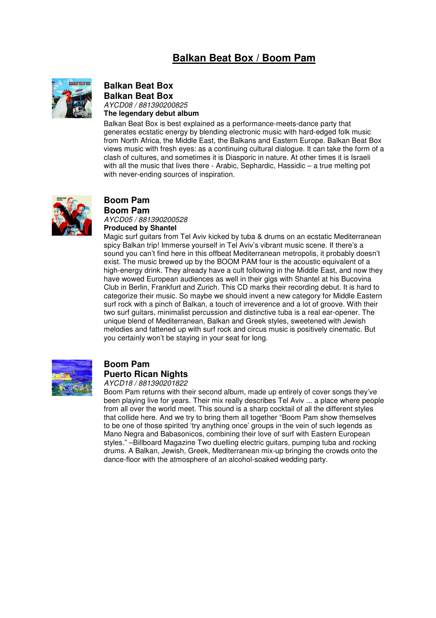## **Balkan Beat Box / Boom Pam**



#### **Balkan Beat Box Balkan Beat Box**  AYCD08 / 881390200825 **The legendary debut album**

Balkan Beat Box is best explained as a performance-meets-dance party that generates ecstatic energy by blending electronic music with hard-edged folk music from North Africa, the Middle East, the Balkans and Eastern Europe. Balkan Beat Box views music with fresh eyes: as a continuing cultural dialogue. It can take the form of a clash of cultures, and sometimes it is Diasporic in nature. At other times it is Israeli with all the music that lives there - Arabic, Sephardic, Hassidic – a true melting pot with never-ending sources of inspiration.



### **Boom Pam**

**Boom Pam**  AYCD05 / 881390200528

**Produced by Shantel**

Magic surf guitars from Tel Aviv kicked by tuba & drums on an ecstatic Mediterranean spicy Balkan trip! Immerse yourself in Tel Aviv's vibrant music scene. If there's a sound you can't find here in this offbeat Mediterranean metropolis, it probably doesn't exist. The music brewed up by the BOOM PAM four is the acoustic equivalent of a high-energy drink. They already have a cult following in the Middle East, and now they have wowed European audiences as well in their gigs with Shantel at his Bucovina Club in Berlin, Frankfurt and Zurich. This CD marks their recording debut. It is hard to categorize their music. So maybe we should invent a new category for Middle Eastern surf rock with a pinch of Balkan, a touch of irreverence and a lot of groove. With their two surf guitars, minimalist percussion and distinctive tuba is a real ear-opener. The unique blend of Mediterranean, Balkan and Greek styles, sweetened with Jewish melodies and fattened up with surf rock and circus music is positively cinematic. But you certainly won't be staying in your seat for long.



## **Boom Pam**

**Puerto Rican Nights** AYCD18 / 881390201822

Boom Pam returns with their second album, made up entirely of cover songs they've been playing live for years. Their mix really describes Tel Aviv ... a place where people from all over the world meet. This sound is a sharp cocktail of all the different styles that collide here. And we try to bring them all together "Boom Pam show themselves to be one of those spirited 'try anything once' groups in the vein of such legends as Mano Negra and Babasonicos, combining their love of surf with Eastern European styles." –Billboard Magazine Two duelling electric guitars, pumping tuba and rocking drums. A Balkan, Jewish, Greek, Mediterranean mix-up bringing the crowds onto the dance-floor with the atmosphere of an alcohol-soaked wedding party.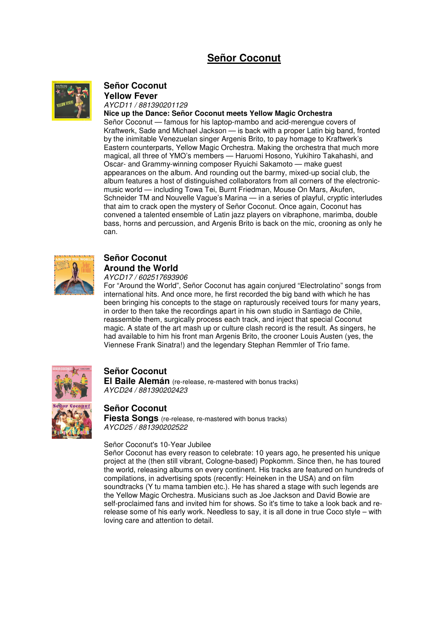## **Señor Coconut**



#### **Señor Coconut Yellow Fever**

AYCD11 / 881390201129

#### **Nice up the Dance: Señor Coconut meets Yellow Magic Orchestra**

Señor Coconut — famous for his laptop-mambo and acid-merengue covers of Kraftwerk, Sade and Michael Jackson — is back with a proper Latin big band, fronted by the inimitable Venezuelan singer Argenis Brito, to pay homage to Kraftwerk's Eastern counterparts, Yellow Magic Orchestra. Making the orchestra that much more magical, all three of YMO's members — Haruomi Hosono, Yukihiro Takahashi, and Oscar- and Grammy-winning composer Ryuichi Sakamoto — make guest appearances on the album. And rounding out the barmy, mixed-up social club, the album features a host of distinguished collaborators from all corners of the electronicmusic world — including Towa Tei, Burnt Friedman, Mouse On Mars, Akufen, Schneider TM and Nouvelle Vague's Marina — in a series of playful, cryptic interludes that aim to crack open the mystery of Señor Coconut. Once again, Coconut has convened a talented ensemble of Latin jazz players on vibraphone, marimba, double bass, horns and percussion, and Argenis Brito is back on the mic, crooning as only he can.



### **Señor Coconut Around the World**

AYCD17 / 602517693906

For "Around the World", Señor Coconut has again conjured "Electrolatino" songs from international hits. And once more, he first recorded the big band with which he has been bringing his concepts to the stage on rapturously received tours for many years, in order to then take the recordings apart in his own studio in Santiago de Chile, reassemble them, surgically process each track, and inject that special Coconut magic. A state of the art mash up or culture clash record is the result. As singers, he had available to him his front man Argenis Brito, the crooner Louis Austen (yes, the Viennese Frank Sinatra!) and the legendary Stephan Remmler of Trio fame.



### **Señor Coconut**

**El Baile Alemán** (re-release, re-mastered with bonus tracks) AYCD24 / 881390202423

### **Señor Coconut**

**Fiesta Songs** (re-release, re-mastered with bonus tracks) AYCD25 / 881390202522

#### Señor Coconut's 10-Year Jubilee

Señor Coconut has every reason to celebrate: 10 years ago, he presented his unique project at the (then still vibrant, Cologne-based) Popkomm. Since then, he has toured the world, releasing albums on every continent. His tracks are featured on hundreds of compilations, in advertising spots (recently: Heineken in the USA) and on film soundtracks (Y tu mama tambien etc.). He has shared a stage with such legends are the Yellow Magic Orchestra. Musicians such as Joe Jackson and David Bowie are self-proclaimed fans and invited him for shows. So it's time to take a look back and rerelease some of his early work. Needless to say, it is all done in true Coco style – with loving care and attention to detail.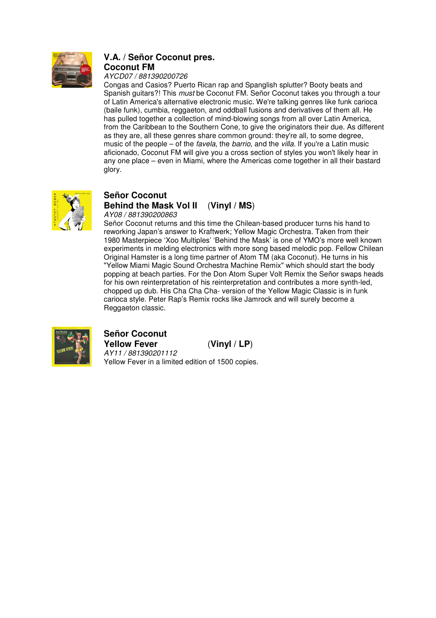

### **V.A. / Señor Coconut pres. Coconut FM**

#### AYCD07 / 881390200726

Congas and Casios? Puerto Rican rap and Spanglish splutter? Booty beats and Spanish guitars?! This must be Coconut FM. Señor Coconut takes you through a tour of Latin America's alternative electronic music. We're talking genres like funk carioca (baile funk), cumbia, reggaeton, and oddball fusions and derivatives of them all. He has pulled together a collection of mind-blowing songs from all over Latin America, from the Caribbean to the Southern Cone, to give the originators their due. As different as they are, all these genres share common ground: they're all, to some degree, music of the people – of the *favela*, the *barrio*, and the *villa*. If you're a Latin music aficionado, Coconut FM will give you a cross section of styles you won't likely hear in any one place – even in Miami, where the Americas come together in all their bastard glory.



#### **Señor Coconut Behind the Mask Vol II** (**Vinyl / MS**) AY08 / 881390200863

Señor Coconut returns and this time the Chilean-based producer turns his hand to reworking Japan's answer to Kraftwerk; Yellow Magic Orchestra. Taken from their 1980 Masterpiece 'Xoo Multiples' 'Behind the Mask' is one of YMO's more well known experiments in melding electronics with more song based melodic pop. Fellow Chilean Original Hamster is a long time partner of Atom TM (aka Coconut). He turns in his "Yellow Miami Magic Sound Orchestra Machine Remix" which should start the body popping at beach parties. For the Don Atom Super Volt Remix the Señor swaps heads for his own reinterpretation of his reinterpretation and contributes a more synth-led, chopped up dub. His Cha Cha Cha- version of the Yellow Magic Classic is in funk carioca style. Peter Rap's Remix rocks like Jamrock and will surely become a Reggaeton classic.



**Señor Coconut Yellow Fever** (**Vinyl / LP**) AY11 / 881390201112 Yellow Fever in a limited edition of 1500 copies.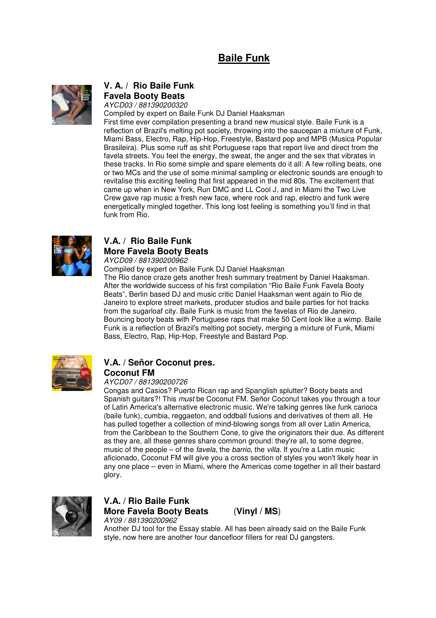## **Baile Funk**



#### **V. A. / Rio Baile Funk Favela Booty Beats** AYCD03 / 881390200320

Compiled by expert on Baile Funk DJ Daniel Haaksman

First time ever compilation presenting a brand new musical style. Baile Funk is a reflection of Brazil's melting pot society, throwing into the saucepan a mixture of Funk, Miami Bass, Electro, Rap, Hip-Hop, Freestyle, Bastard pop and MPB (Musica Popular Brasileira). Plus some ruff as shit Portuguese raps that report live and direct from the favela streets. You feel the energy, the sweat, the anger and the sex that vibrates in these tracks. In Rio some simple and spare elements do it all: A few rolling beats, one or two MCs and the use of some minimal sampling or electronic sounds are enough to revitalise this exciting feeling that first appeared in the mid 80s. The excitement that came up when in New York, Run DMC and LL Cool J, and in Miami the Two Live Crew gave rap music a fresh new face, where rock and rap, electro and funk were energetically mingled together. This long lost feeling is something you'll find in that funk from Rio.



### **V.A. / Rio Baile Funk More Favela Booty Beats**

AYCD09 / 881390200962

Compiled by expert on Baile Funk DJ Daniel Haaksman

The Rio dance craze gets another fresh summary treatment by Daniel Haaksman. After the worldwide success of his first compilation "Rio Baile Funk Favela Booty Beats", Berlin based DJ and music critic Daniel Haaksman went again to Rio de Janeiro to explore street markets, producer studios and baile parties for hot tracks from the sugarloaf city. Baile Funk is music from the favelas of Rio de Janeiro. Bouncing booty beats with Portuguese raps that make 50 Cent look like a wimp. Baile Funk is a reflection of Brazil's melting pot society, merging a mixture of Funk, Miami Bass, Electro, Rap, Hip-Hop, Freestyle and Bastard Pop.



#### **V.A. / Señor Coconut pres. Coconut FM**

### AYCD07 / 881390200726

Congas and Casios? Puerto Rican rap and Spanglish splutter? Booty beats and Spanish guitars?! This *must* be Coconut FM. Señor Coconut takes you through a tour of Latin America's alternative electronic music. We're talking genres like funk carioca (baile funk), cumbia, reggaeton, and oddball fusions and derivatives of them all. He has pulled together a collection of mind-blowing songs from all over Latin America, from the Caribbean to the Southern Cone, to give the originators their due. As different as they are, all these genres share common ground: they're all, to some degree, music of the people – of the favela, the barrio, the villa. If you're a Latin music aficionado, Coconut FM will give you a cross section of styles you won't likely hear in any one place – even in Miami, where the Americas come together in all their bastard glory.



## **V.A. / Rio Baile Funk More Favela Booty Beats** (**Vinyl / MS**) AY09 / 881390200962

Another DJ tool for the Essay stable. All has been already said on the Baile Funk style, now here are another four dancefloor fillers for real DJ gangsters.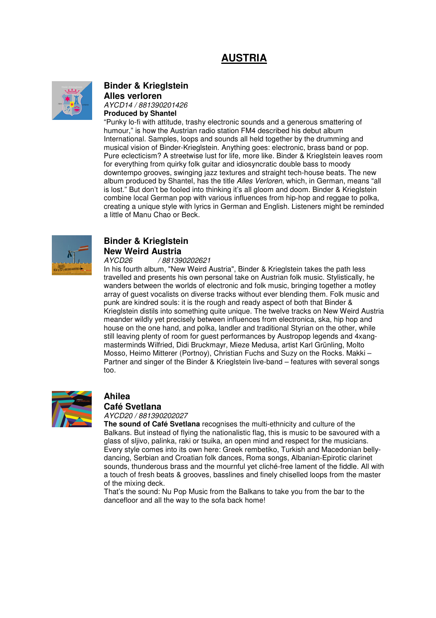## **AUSTRIA**



#### **Binder & Krieglstein Alles verloren**

AYCD14 / 881390201426

**Produced by Shantel**

"Punky lo-fi with attitude, trashy electronic sounds and a generous smattering of humour," is how the Austrian radio station FM4 described his debut album International. Samples, loops and sounds all held together by the drumming and musical vision of Binder-Krieglstein. Anything goes: electronic, brass band or pop. Pure eclecticism? A streetwise lust for life, more like. Binder & Krieglstein leaves room for everything from quirky folk guitar and idiosyncratic double bass to moody downtempo grooves, swinging jazz textures and straight tech-house beats. The new album produced by Shantel, has the title Alles Verloren, which, in German, means "all is lost." But don't be fooled into thinking it's all gloom and doom. Binder & Krieglstein combine local German pop with various influences from hip-hop and reggae to polka, creating a unique style with lyrics in German and English. Listeners might be reminded a little of Manu Chao or Beck.



## **Binder & Krieglstein New Weird Austria**

#### AYCD26 / 881390202621

In his fourth album, "New Weird Austria", Binder & Krieglstein takes the path less travelled and presents his own personal take on Austrian folk music. Stylistically, he wanders between the worlds of electronic and folk music, bringing together a motley array of guest vocalists on diverse tracks without ever blending them. Folk music and punk are kindred souls: it is the rough and ready aspect of both that Binder & Krieglstein distils into something quite unique. The twelve tracks on New Weird Austria meander wildly yet precisely between influences from electronica, ska, hip hop and house on the one hand, and polka, landler and traditional Styrian on the other, while still leaving plenty of room for guest performances by Austropop legends and 4xangmasterminds Wilfried, Didi Bruckmayr, Mieze Medusa, artist Karl Grünling, Molto Mosso, Heimo Mitterer (Portnoy), Christian Fuchs and Suzy on the Rocks. Makki – Partner and singer of the Binder & Krieglstein live-band – features with several songs too.



### **Ahilea**

### **Café Svetlana**

AYCD20 / 881390202027

**The sound of Café Svetlana** recognises the multi-ethnicity and culture of the Balkans. But instead of flying the nationalistic flag, this is music to be savoured with a glass of sljivo, palinka, raki or tsuika, an open mind and respect for the musicians. Every style comes into its own here: Greek rembetiko, Turkish and Macedonian bellydancing, Serbian and Croatian folk dances, Roma songs, Albanian-Epirotic clarinet sounds, thunderous brass and the mournful yet cliché-free lament of the fiddle. All with a touch of fresh beats & grooves, basslines and finely chiselled loops from the master of the mixing deck.

That's the sound: Nu Pop Music from the Balkans to take you from the bar to the dancefloor and all the way to the sofa back home!